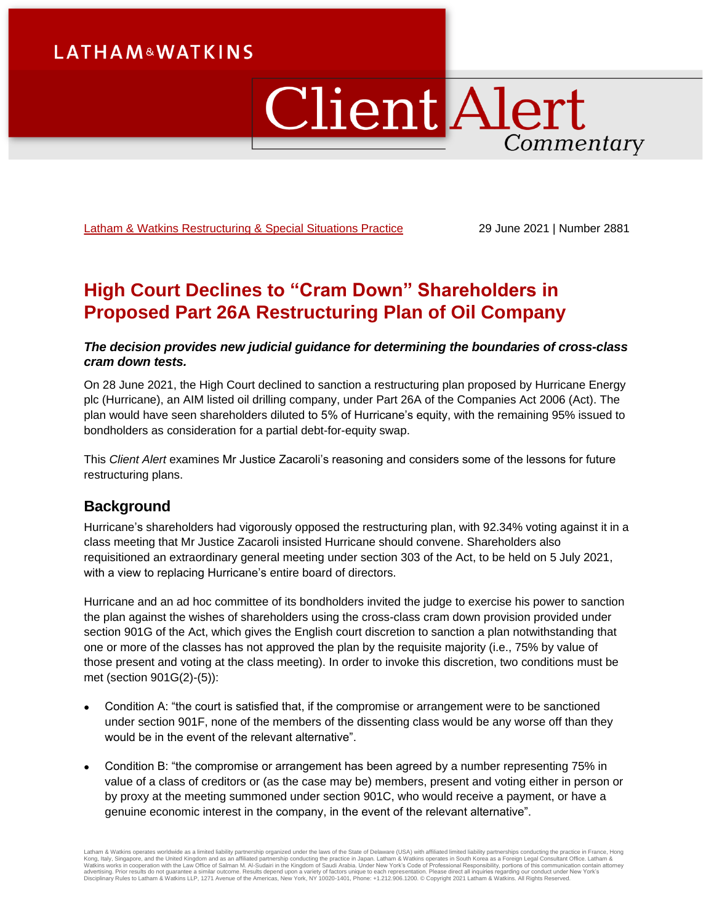# **LATHAM&WATKINS**

# **Client Alert** Commentary

[Latham & Watkins Restructuring & Special Situations Practice](https://www.lw.com/practices/RestructuringAndSpecialSituations) 29 June 2021 | Number 2881

# **High Court Declines to "Cram Down" Shareholders in Proposed Part 26A Restructuring Plan of Oil Company**

## *The decision provides new judicial guidance for determining the boundaries of cross-class cram down tests.*

On 28 June 2021, the High Court declined to sanction a restructuring plan proposed by Hurricane Energy plc (Hurricane), an AIM listed oil drilling company, under Part 26A of the Companies Act 2006 (Act). The plan would have seen shareholders diluted to 5% of Hurricane's equity, with the remaining 95% issued to bondholders as consideration for a partial debt-for-equity swap.

This *Client Alert* examines Mr Justice Zacaroli's reasoning and considers some of the lessons for future restructuring plans.

# **Background**

Hurricane's shareholders had vigorously opposed the restructuring plan, with 92.34% voting against it in a class meeting that Mr Justice Zacaroli insisted Hurricane should convene. Shareholders also requisitioned an extraordinary general meeting under section 303 of the Act, to be held on 5 July 2021, with a view to replacing Hurricane's entire board of directors.

Hurricane and an ad hoc committee of its bondholders invited the judge to exercise his power to sanction the plan against the wishes of shareholders using the cross-class cram down provision provided under section 901G of the Act, which gives the English court discretion to sanction a plan notwithstanding that one or more of the classes has not approved the plan by the requisite majority (i.e., 75% by value of those present and voting at the class meeting). In order to invoke this discretion, two conditions must be met (section 901G(2)-(5)):

- Condition A: "the court is satisfied that, if the compromise or arrangement were to be sanctioned under section 901F, none of the members of the dissenting class would be any worse off than they would be in the event of the relevant alternative".
- Condition B: "the compromise or arrangement has been agreed by a number representing 75% in value of a class of creditors or (as the case may be) members, present and voting either in person or by proxy at the meeting summoned under section 901C, who would receive a payment, or have a genuine economic interest in the company, in the event of the relevant alternative".

Latham & Watkins operates worldwide as a limited liability partnership organized under the laws of the State of Delaware (USA) with affiliated limited liability partnerships conducting the practice in France, Hong<br>Kong, It Disciplinary Rules to Latham & Watkins LLP, 1271 Avenue of the Americas, New York, NY 10020-1401, Phone: +1.212.906.1200. © Copyright 2021 Latham & Watkins. All Rights Reserved.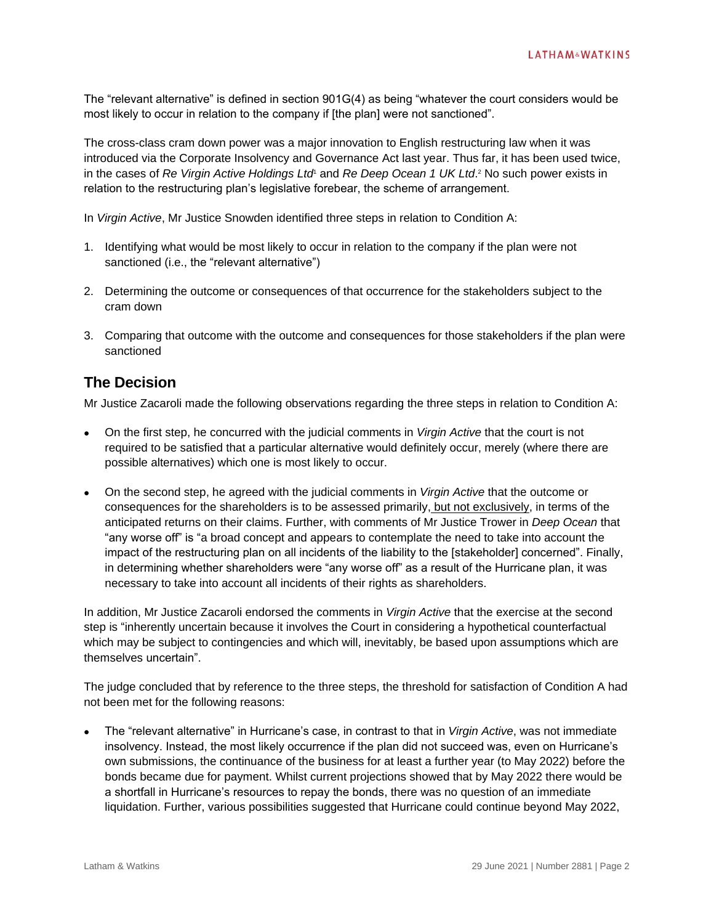The "relevant alternative" is defined in section 901G(4) as being "whatever the court considers would be most likely to occur in relation to the company if [the plan] were not sanctioned".

The cross-class cram down power was a major innovation to English restructuring law when it was introduced via the Corporate Insolvency and Governance Act last year. Thus far, it has been used twice, in the cases of *Re Virgin Active Holdings Ltd*<sup>1</sup> and *Re Deep Ocean 1 UK Ltd*. <sup>2</sup> No such power exists in relation to the restructuring plan's legislative forebear, the scheme of arrangement.

In *Virgin Active*, Mr Justice Snowden identified three steps in relation to Condition A:

- 1. Identifying what would be most likely to occur in relation to the company if the plan were not sanctioned (i.e., the "relevant alternative")
- 2. Determining the outcome or consequences of that occurrence for the stakeholders subject to the cram down
- 3. Comparing that outcome with the outcome and consequences for those stakeholders if the plan were sanctioned

## **The Decision**

Mr Justice Zacaroli made the following observations regarding the three steps in relation to Condition A:

- On the first step, he concurred with the judicial comments in *Virgin Active* that the court is not required to be satisfied that a particular alternative would definitely occur, merely (where there are possible alternatives) which one is most likely to occur.
- On the second step, he agreed with the judicial comments in *Virgin Active* that the outcome or consequences for the shareholders is to be assessed primarily, but not exclusively, in terms of the anticipated returns on their claims. Further, with comments of Mr Justice Trower in *Deep Ocean* that "any worse off" is "a broad concept and appears to contemplate the need to take into account the impact of the restructuring plan on all incidents of the liability to the [stakeholder] concerned". Finally, in determining whether shareholders were "any worse off" as a result of the Hurricane plan, it was necessary to take into account all incidents of their rights as shareholders.

In addition, Mr Justice Zacaroli endorsed the comments in *Virgin Active* that the exercise at the second step is "inherently uncertain because it involves the Court in considering a hypothetical counterfactual which may be subject to contingencies and which will, inevitably, be based upon assumptions which are themselves uncertain".

The judge concluded that by reference to the three steps, the threshold for satisfaction of Condition A had not been met for the following reasons:

 The "relevant alternative" in Hurricane's case, in contrast to that in *Virgin Active*, was not immediate insolvency. Instead, the most likely occurrence if the plan did not succeed was, even on Hurricane's own submissions, the continuance of the business for at least a further year (to May 2022) before the bonds became due for payment. Whilst current projections showed that by May 2022 there would be a shortfall in Hurricane's resources to repay the bonds, there was no question of an immediate liquidation. Further, various possibilities suggested that Hurricane could continue beyond May 2022,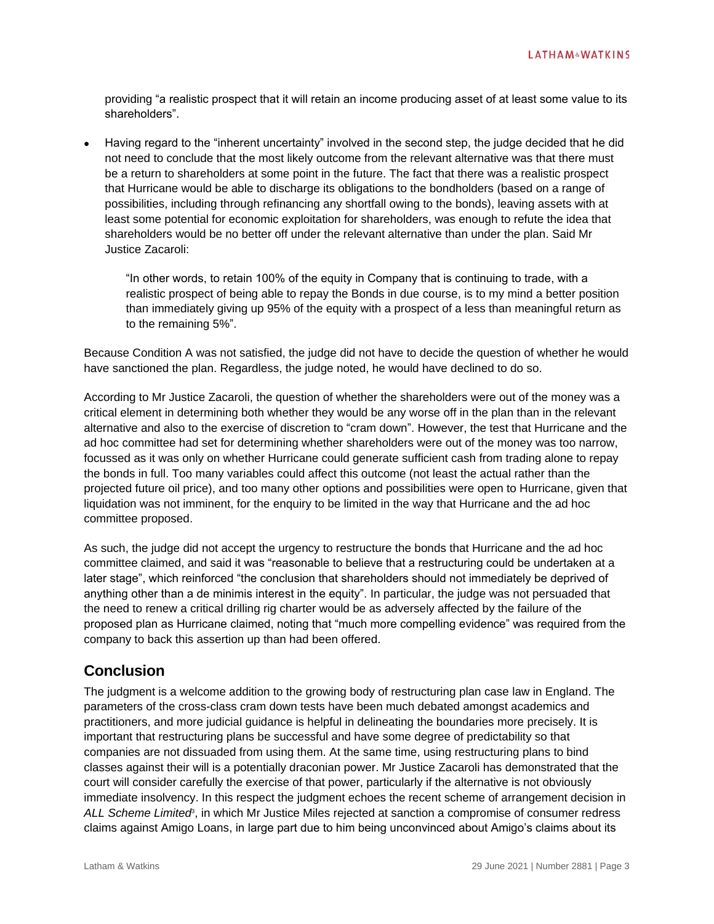providing "a realistic prospect that it will retain an income producing asset of at least some value to its shareholders".

 Having regard to the "inherent uncertainty" involved in the second step, the judge decided that he did not need to conclude that the most likely outcome from the relevant alternative was that there must be a return to shareholders at some point in the future. The fact that there was a realistic prospect that Hurricane would be able to discharge its obligations to the bondholders (based on a range of possibilities, including through refinancing any shortfall owing to the bonds), leaving assets with at least some potential for economic exploitation for shareholders, was enough to refute the idea that shareholders would be no better off under the relevant alternative than under the plan. Said Mr Justice Zacaroli:

"In other words, to retain 100% of the equity in Company that is continuing to trade, with a realistic prospect of being able to repay the Bonds in due course, is to my mind a better position than immediately giving up 95% of the equity with a prospect of a less than meaningful return as to the remaining 5%".

Because Condition A was not satisfied, the judge did not have to decide the question of whether he would have sanctioned the plan. Regardless, the judge noted, he would have declined to do so.

According to Mr Justice Zacaroli, the question of whether the shareholders were out of the money was a critical element in determining both whether they would be any worse off in the plan than in the relevant alternative and also to the exercise of discretion to "cram down". However, the test that Hurricane and the ad hoc committee had set for determining whether shareholders were out of the money was too narrow, focussed as it was only on whether Hurricane could generate sufficient cash from trading alone to repay the bonds in full. Too many variables could affect this outcome (not least the actual rather than the projected future oil price), and too many other options and possibilities were open to Hurricane, given that liquidation was not imminent, for the enquiry to be limited in the way that Hurricane and the ad hoc committee proposed.

As such, the judge did not accept the urgency to restructure the bonds that Hurricane and the ad hoc committee claimed, and said it was "reasonable to believe that a restructuring could be undertaken at a later stage", which reinforced "the conclusion that shareholders should not immediately be deprived of anything other than a de minimis interest in the equity". In particular, the judge was not persuaded that the need to renew a critical drilling rig charter would be as adversely affected by the failure of the proposed plan as Hurricane claimed, noting that "much more compelling evidence" was required from the company to back this assertion up than had been offered.

# **Conclusion**

The judgment is a welcome addition to the growing body of restructuring plan case law in England. The parameters of the cross-class cram down tests have been much debated amongst academics and practitioners, and more judicial guidance is helpful in delineating the boundaries more precisely. It is important that restructuring plans be successful and have some degree of predictability so that companies are not dissuaded from using them. At the same time, using restructuring plans to bind classes against their will is a potentially draconian power. Mr Justice Zacaroli has demonstrated that the court will consider carefully the exercise of that power, particularly if the alternative is not obviously immediate insolvency. In this respect the judgment echoes the recent scheme of arrangement decision in ALL Scheme Limited<sup>8</sup>, in which Mr Justice Miles rejected at sanction a compromise of consumer redress claims against Amigo Loans, in large part due to him being unconvinced about Amigo's claims about its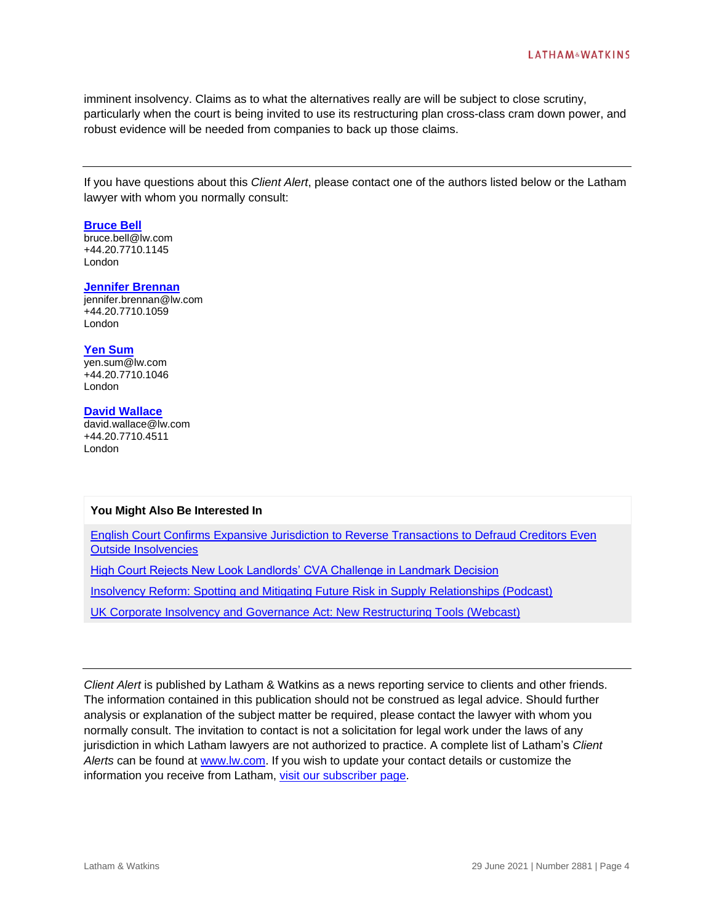imminent insolvency. Claims as to what the alternatives really are will be subject to close scrutiny, particularly when the court is being invited to use its restructuring plan cross-class cram down power, and robust evidence will be needed from companies to back up those claims.

If you have questions about this *Client Alert*, please contact one of the authors listed below or the Latham lawyer with whom you normally consult:

#### **[Bruce Bell](https://www.lw.com/people/bruce-bell)**

bruce.bell@lw.com +44.20.7710.1145 London

#### **[Jennifer Brennan](https://www.lw.com/people/jennifer-brennan)**

jennifer.brennan@lw.com +44.20.7710.1059 London

#### **[Yen Sum](https://www.lw.com/people/yen-sum)**

yen.sum@lw.com +44.20.7710.1046 London

### **[David Wallace](https://www.lw.com/people/david-wallace)**

david.wallace@lw.com +44.20.7710.4511 London

### **You Might Also Be Interested In**

[English Court Confirms Expansive Jurisdiction to Reverse Transactions to Defraud Creditors Even](https://www.lw.com/thoughtLeadership/english-court-confirms-expansive-jurisdiction-to-reverse-transactions-to-defraud-creditors-even-outside-insolvencies)  [Outside Insolvencies](https://www.lw.com/thoughtLeadership/english-court-confirms-expansive-jurisdiction-to-reverse-transactions-to-defraud-creditors-even-outside-insolvencies)

**[High Court Rejects New Look Landlords' CVA Challenge in Landmark Decision](https://www.lw.com/thoughtLeadership/high-court-rejects-new-look-landlords-cva-challenge-in-landmark-decision)** 

[Insolvency Reform: Spotting and Mitigating Future Risk in Supply Relationships \(Podcast\)](https://www.lw.com/webcasts/podcast-insolvency-reform-spotting-mitigating-future-risk-supply-relationships)

[UK Corporate Insolvency and Governance Act: New Restructuring Tools \(Webcast\)](https://event.on24.com/eventRegistration/EventLobbyServlet?target=reg20.jsp&referrer=https%3A%2F%2Fwww.lw.com%2F&eventid=2751893&sessionid=1&key=B0B6884556FF15E71EE657E016AC49CB®Tag=&V2=false&sourcepage=register)

*Client Alert* is published by Latham & Watkins as a news reporting service to clients and other friends. The information contained in this publication should not be construed as legal advice. Should further analysis or explanation of the subject matter be required, please contact the lawyer with whom you normally consult. The invitation to contact is not a solicitation for legal work under the laws of any jurisdiction in which Latham lawyers are not authorized to practice. A complete list of Latham's *Client Alerts* can be found at [www.lw.com.](http://www.lw.com/) If you wish to update your contact details or customize the information you receive from Latham, [visit our subscriber page.](https://www.sites.lwcommunicate.com/5/2399/forms-english/subscribe.asp)